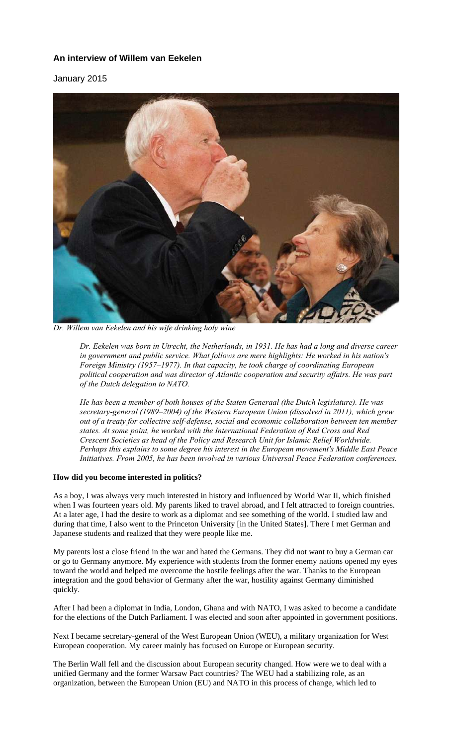# **An interview of Willem van Eekelen**

January 2015



*Dr. Willem van Eekelen and his wife drinking holy wine* 

*Dr. Eekelen was born in Utrecht, the Netherlands, in 1931. He has had a long and diverse career in government and public service. What follows are mere highlights: He worked in his nation's Foreign Ministry (1957–1977). In that capacity, he took charge of coordinating European political cooperation and was director of Atlantic cooperation and security affairs. He was part of the Dutch delegation to NATO.* 

*He has been a member of both houses of the Staten Generaal (the Dutch legislature). He was secretary-general (1989–2004) of the Western European Union (dissolved in 2011), which grew out of a treaty for collective self-defense, social and economic collaboration between ten member states. At some point, he worked with the International Federation of Red Cross and Red Crescent Societies as head of the Policy and Research Unit for Islamic Relief Worldwide. Perhaps this explains to some degree his interest in the European movement's Middle East Peace Initiatives. From 2005, he has been involved in various Universal Peace Federation conferences.* 

# **How did you become interested in politics?**

As a boy, I was always very much interested in history and influenced by World War II, which finished when I was fourteen years old. My parents liked to travel abroad, and I felt attracted to foreign countries. At a later age, I had the desire to work as a diplomat and see something of the world. I studied law and during that time, I also went to the Princeton University [in the United States]. There I met German and Japanese students and realized that they were people like me.

My parents lost a close friend in the war and hated the Germans. They did not want to buy a German car or go to Germany anymore. My experience with students from the former enemy nations opened my eyes toward the world and helped me overcome the hostile feelings after the war. Thanks to the European integration and the good behavior of Germany after the war, hostility against Germany diminished quickly.

After I had been a diplomat in India, London, Ghana and with NATO, I was asked to become a candidate for the elections of the Dutch Parliament. I was elected and soon after appointed in government positions.

Next I became secretary-general of the West European Union (WEU), a military organization for West European cooperation. My career mainly has focused on Europe or European security.

The Berlin Wall fell and the discussion about European security changed. How were we to deal with a unified Germany and the former Warsaw Pact countries? The WEU had a stabilizing role, as an organization, between the European Union (EU) and NATO in this process of change, which led to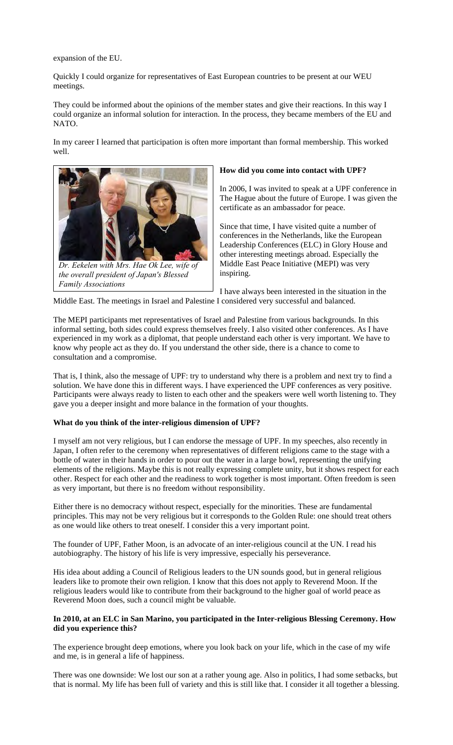expansion of the EU.

Quickly I could organize for representatives of East European countries to be present at our WEU meetings.

They could be informed about the opinions of the member states and give their reactions. In this way I could organize an informal solution for interaction. In the process, they became members of the EU and NATO.

In my career I learned that participation is often more important than formal membership. This worked well.



*Dr. Eekelen with Mrs. Hae Ok Lee, wife of the overall president of Japan's Blessed Family Associations*

### **How did you come into contact with UPF?**

In 2006, I was invited to speak at a UPF conference in The Hague about the future of Europe. I was given the certificate as an ambassador for peace.

Since that time, I have visited quite a number of conferences in the Netherlands, like the European Leadership Conferences (ELC) in Glory House and other interesting meetings abroad. Especially the Middle East Peace Initiative (MEPI) was very inspiring.

I have always been interested in the situation in the Middle East. The meetings in Israel and Palestine I considered very successful and balanced.

The MEPI participants met representatives of Israel and Palestine from various backgrounds. In this informal setting, both sides could express themselves freely. I also visited other conferences. As I have experienced in my work as a diplomat, that people understand each other is very important. We have to know why people act as they do. If you understand the other side, there is a chance to come to consultation and a compromise.

That is, I think, also the message of UPF: try to understand why there is a problem and next try to find a solution. We have done this in different ways. I have experienced the UPF conferences as very positive. Participants were always ready to listen to each other and the speakers were well worth listening to. They gave you a deeper insight and more balance in the formation of your thoughts.

## **What do you think of the inter-religious dimension of UPF?**

I myself am not very religious, but I can endorse the message of UPF. In my speeches, also recently in Japan, I often refer to the ceremony when representatives of different religions came to the stage with a bottle of water in their hands in order to pour out the water in a large bowl, representing the unifying elements of the religions. Maybe this is not really expressing complete unity, but it shows respect for each other. Respect for each other and the readiness to work together is most important. Often freedom is seen as very important, but there is no freedom without responsibility.

Either there is no democracy without respect, especially for the minorities. These are fundamental principles. This may not be very religious but it corresponds to the Golden Rule: one should treat others as one would like others to treat oneself. I consider this a very important point.

The founder of UPF, Father Moon, is an advocate of an inter-religious council at the UN. I read his autobiography. The history of his life is very impressive, especially his perseverance.

His idea about adding a Council of Religious leaders to the UN sounds good, but in general religious leaders like to promote their own religion. I know that this does not apply to Reverend Moon. If the religious leaders would like to contribute from their background to the higher goal of world peace as Reverend Moon does, such a council might be valuable.

# **In 2010, at an ELC in San Marino, you participated in the Inter-religious Blessing Ceremony. How did you experience this?**

The experience brought deep emotions, where you look back on your life, which in the case of my wife and me, is in general a life of happiness.

There was one downside: We lost our son at a rather young age. Also in politics, I had some setbacks, but that is normal. My life has been full of variety and this is still like that. I consider it all together a blessing.